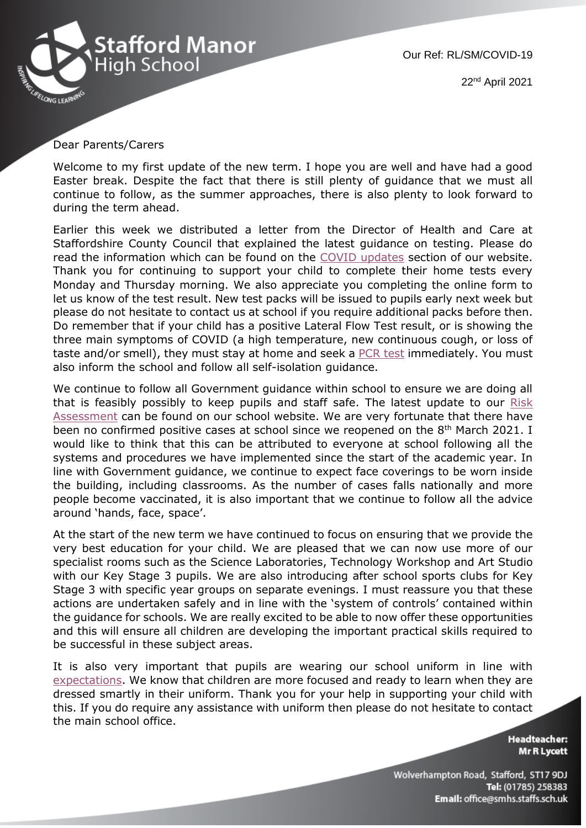

## Dear Parents/Carers

Welcome to my first update of the new term. I hope you are well and have had a good Easter break. Despite the fact that there is still plenty of guidance that we must all continue to follow, as the summer approaches, there is also plenty to look forward to during the term ahead.

Earlier this week we distributed a letter from the Director of Health and Care at Staffordshire County Council that explained the latest guidance on testing. Please do read the information which can be found on the [COVID updates](https://www.staffordmanorhighschool.com/updates) section of our website. Thank you for continuing to support your child to complete their home tests every Monday and Thursday morning. We also appreciate you completing the online form to let us know of the test result. New test packs will be issued to pupils early next week but please do not hesitate to contact us at school if you require additional packs before then. Do remember that if your child has a positive Lateral Flow Test result, or is showing the three main symptoms of COVID (a high temperature, new continuous cough, or loss of taste and/or smell), they must stay at home and seek a [PCR test](https://www.nhs.uk/conditions/coronavirus-covid-19/) immediately. You must also inform the school and follow all self-isolation guidance.

We continue to follow all Government guidance within school to ensure we are doing all that is feasibly possibly to keep pupils and staff safe. The latest update to our Risk [Assessment](https://13110305-7f07-022b-22b5-d5167c77c48b.filesusr.com/ugd/7451a1_d4ab8a8ee2994760bbad621fe268e774.pdf) can be found on our school website. We are very fortunate that there have been no confirmed positive cases at school since we reopened on the  $8<sup>th</sup>$  March 2021. I would like to think that this can be attributed to everyone at school following all the systems and procedures we have implemented since the start of the academic year. In line with Government guidance, we continue to expect face coverings to be worn inside the building, including classrooms. As the number of cases falls nationally and more people become vaccinated, it is also important that we continue to follow all the advice around 'hands, face, space'.

At the start of the new term we have continued to focus on ensuring that we provide the very best education for your child. We are pleased that we can now use more of our specialist rooms such as the Science Laboratories, Technology Workshop and Art Studio with our Key Stage 3 pupils. We are also introducing after school sports clubs for Key Stage 3 with specific year groups on separate evenings. I must reassure you that these actions are undertaken safely and in line with the 'system of controls' contained within the guidance for schools. We are really excited to be able to now offer these opportunities and this will ensure all children are developing the important practical skills required to be successful in these subject areas.

It is also very important that pupils are wearing our school uniform in line with [expectations.](https://www.staffordmanorhighschool.com/uniform) We know that children are more focused and ready to learn when they are dressed smartly in their uniform. Thank you for your help in supporting your child with this. If you do require any assistance with uniform then please do not hesitate to contact the main school office.

> **Headteacher: Mr R Lycett**

Wolverhampton Road, Stafford, ST17 9DJ Tel: (01785) 258383 Email: office@smhs.staffs.sch.uk